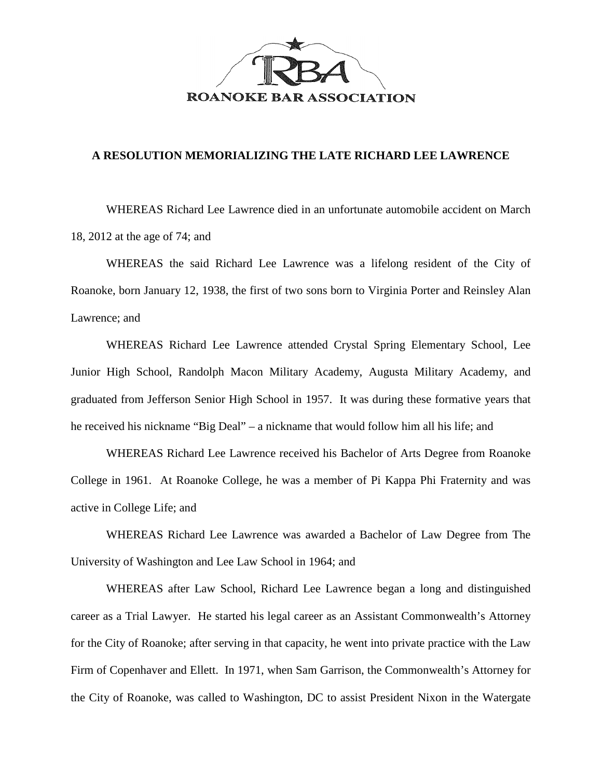

## **A RESOLUTION MEMORIALIZING THE LATE RICHARD LEE LAWRENCE**

WHEREAS Richard Lee Lawrence died in an unfortunate automobile accident on March 18, 2012 at the age of 74; and

WHEREAS the said Richard Lee Lawrence was a lifelong resident of the City of Roanoke, born January 12, 1938, the first of two sons born to Virginia Porter and Reinsley Alan Lawrence; and

WHEREAS Richard Lee Lawrence attended Crystal Spring Elementary School, Lee Junior High School, Randolph Macon Military Academy, Augusta Military Academy, and graduated from Jefferson Senior High School in 1957. It was during these formative years that he received his nickname "Big Deal" – a nickname that would follow him all his life; and

WHEREAS Richard Lee Lawrence received his Bachelor of Arts Degree from Roanoke College in 1961. At Roanoke College, he was a member of Pi Kappa Phi Fraternity and was active in College Life; and

WHEREAS Richard Lee Lawrence was awarded a Bachelor of Law Degree from The University of Washington and Lee Law School in 1964; and

WHEREAS after Law School, Richard Lee Lawrence began a long and distinguished career as a Trial Lawyer. He started his legal career as an Assistant Commonwealth's Attorney for the City of Roanoke; after serving in that capacity, he went into private practice with the Law Firm of Copenhaver and Ellett. In 1971, when Sam Garrison, the Commonwealth's Attorney for the City of Roanoke, was called to Washington, DC to assist President Nixon in the Watergate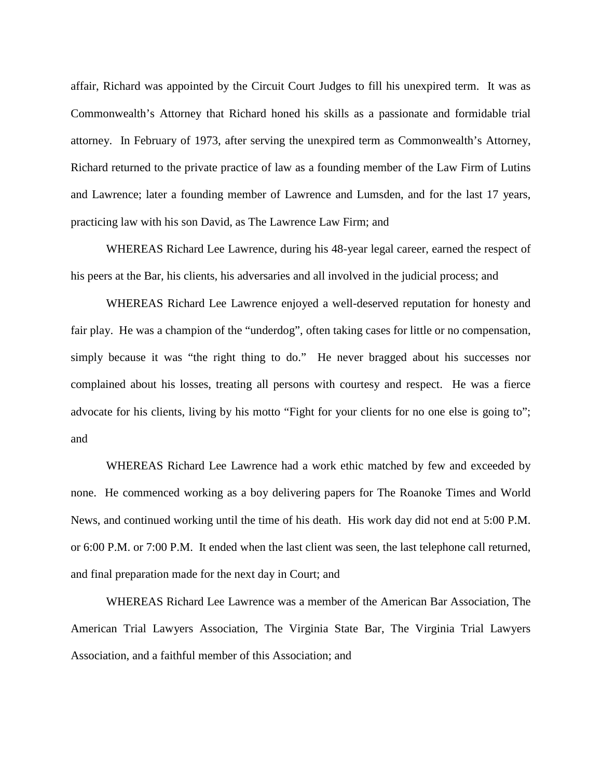affair, Richard was appointed by the Circuit Court Judges to fill his unexpired term. It was as Commonwealth's Attorney that Richard honed his skills as a passionate and formidable trial attorney. In February of 1973, after serving the unexpired term as Commonwealth's Attorney, Richard returned to the private practice of law as a founding member of the Law Firm of Lutins and Lawrence; later a founding member of Lawrence and Lumsden, and for the last 17 years, practicing law with his son David, as The Lawrence Law Firm; and

WHEREAS Richard Lee Lawrence, during his 48-year legal career, earned the respect of his peers at the Bar, his clients, his adversaries and all involved in the judicial process; and

WHEREAS Richard Lee Lawrence enjoyed a well-deserved reputation for honesty and fair play. He was a champion of the "underdog", often taking cases for little or no compensation, simply because it was "the right thing to do." He never bragged about his successes nor complained about his losses, treating all persons with courtesy and respect. He was a fierce advocate for his clients, living by his motto "Fight for your clients for no one else is going to"; and

WHEREAS Richard Lee Lawrence had a work ethic matched by few and exceeded by none. He commenced working as a boy delivering papers for The Roanoke Times and World News, and continued working until the time of his death. His work day did not end at 5:00 P.M. or 6:00 P.M. or 7:00 P.M. It ended when the last client was seen, the last telephone call returned, and final preparation made for the next day in Court; and

WHEREAS Richard Lee Lawrence was a member of the American Bar Association, The American Trial Lawyers Association, The Virginia State Bar, The Virginia Trial Lawyers Association, and a faithful member of this Association; and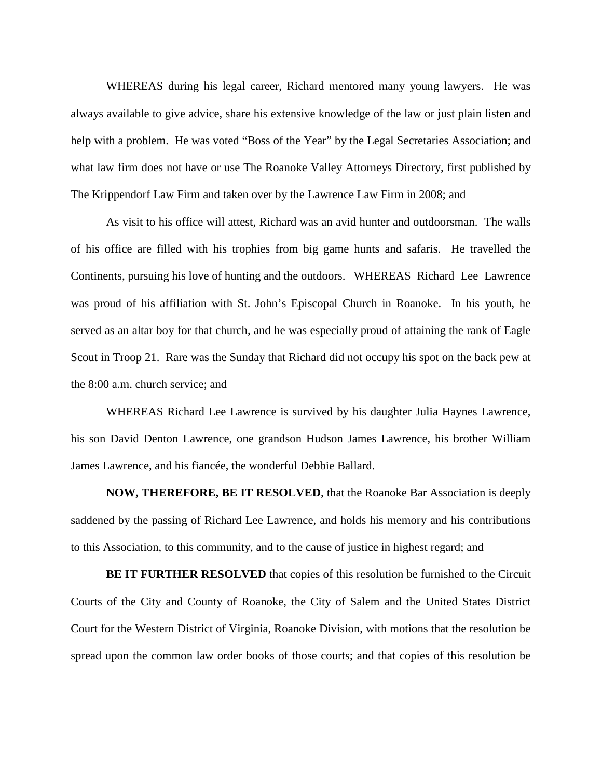WHEREAS during his legal career, Richard mentored many young lawyers. He was always available to give advice, share his extensive knowledge of the law or just plain listen and help with a problem. He was voted "Boss of the Year" by the Legal Secretaries Association; and what law firm does not have or use The Roanoke Valley Attorneys Directory, first published by The Krippendorf Law Firm and taken over by the Lawrence Law Firm in 2008; and

As visit to his office will attest, Richard was an avid hunter and outdoorsman. The walls of his office are filled with his trophies from big game hunts and safaris. He travelled the Continents, pursuing his love of hunting and the outdoors. WHEREAS Richard Lee Lawrence was proud of his affiliation with St. John's Episcopal Church in Roanoke. In his youth, he served as an altar boy for that church, and he was especially proud of attaining the rank of Eagle Scout in Troop 21. Rare was the Sunday that Richard did not occupy his spot on the back pew at the 8:00 a.m. church service; and

WHEREAS Richard Lee Lawrence is survived by his daughter Julia Haynes Lawrence, his son David Denton Lawrence, one grandson Hudson James Lawrence, his brother William James Lawrence, and his fiancée, the wonderful Debbie Ballard.

**NOW, THEREFORE, BE IT RESOLVED**, that the Roanoke Bar Association is deeply saddened by the passing of Richard Lee Lawrence, and holds his memory and his contributions to this Association, to this community, and to the cause of justice in highest regard; and

**BE IT FURTHER RESOLVED** that copies of this resolution be furnished to the Circuit Courts of the City and County of Roanoke, the City of Salem and the United States District Court for the Western District of Virginia, Roanoke Division, with motions that the resolution be spread upon the common law order books of those courts; and that copies of this resolution be